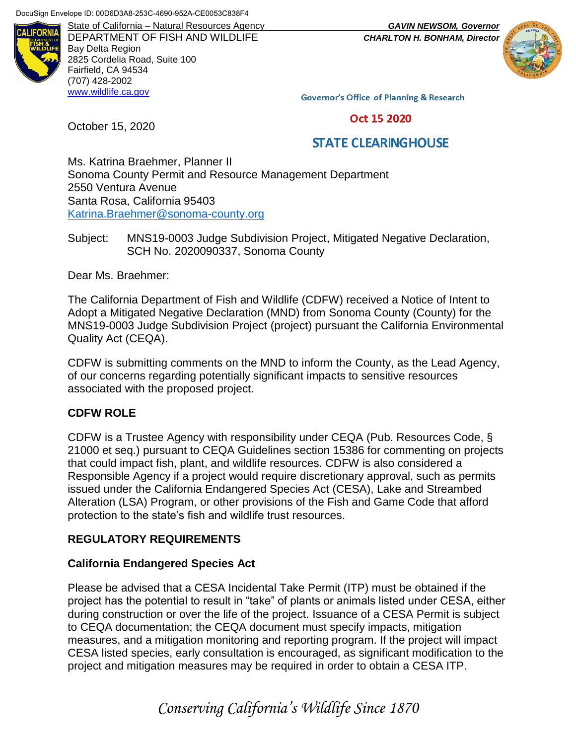

DEPARTMENT OF FISH AND WILDLIFE *CHARLTON H. BONHAM, Director* Bay Delta Region 2825 Cordelia Road, Suite 100 Fairfield, CA 94534 (707) 428-2002 [www.wildlife.ca.gov](http://www.wildlife.ca.gov/)

State of California – Natural Resources Agency *GAVIN NEWSOM, Governor*



Governor's Office of Planning & Research

Oct 15 2020

## **STATE CLEARINGHOUSE**

Ms. Katrina Braehmer, Planner II Sonoma County Permit and Resource Management Department 2550 Ventura Avenue Santa Rosa, California 95403 [Katrina.Braehmer@sonoma-county.org](mailto:Katrina.Braehmer@sonoma-county.org)

Subject: MNS19-0003 Judge Subdivision Project, Mitigated Negative Declaration, SCH No. 2020090337, Sonoma County

Dear Ms. Braehmer:

October 15, 2020

The California Department of Fish and Wildlife (CDFW) received a Notice of Intent to Adopt a Mitigated Negative Declaration (MND) from Sonoma County (County) for the MNS19-0003 Judge Subdivision Project (project) pursuant the California Environmental Quality Act (CEQA).

CDFW is submitting comments on the MND to inform the County, as the Lead Agency, of our concerns regarding potentially significant impacts to sensitive resources associated with the proposed project.

#### **CDFW ROLE**

CDFW is a Trustee Agency with responsibility under CEQA (Pub. Resources Code, § 21000 et seq.) pursuant to CEQA Guidelines section 15386 for commenting on projects that could impact fish, plant, and wildlife resources. CDFW is also considered a Responsible Agency if a project would require discretionary approval, such as permits issued under the California Endangered Species Act (CESA), Lake and Streambed Alteration (LSA) Program, or other provisions of the Fish and Game Code that afford protection to the state's fish and wildlife trust resources.

### **REGULATORY REQUIREMENTS**

#### **California Endangered Species Act**

Please be advised that a CESA Incidental Take Permit (ITP) must be obtained if the project has the potential to result in "take" of plants or animals listed under CESA, either during construction or over the life of the project. Issuance of a CESA Permit is subject to CEQA documentation; the CEQA document must specify impacts, mitigation measures, and a mitigation monitoring and reporting program. If the project will impact CESA listed species, early consultation is encouraged, as significant modification to the project and mitigation measures may be required in order to obtain a CESA ITP.

*Conserving California's Wildlife Since 1870*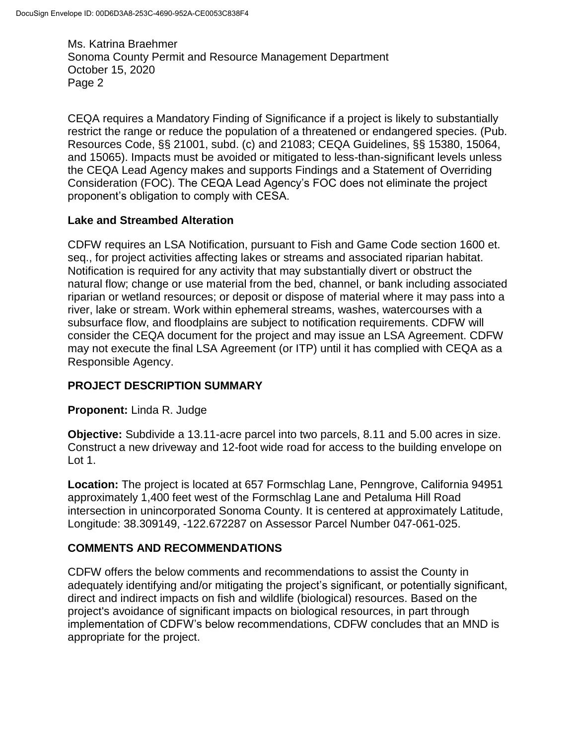CEQA requires a Mandatory Finding of Significance if a project is likely to substantially restrict the range or reduce the population of a threatened or endangered species. (Pub. Resources Code, §§ 21001, subd. (c) and 21083; CEQA Guidelines, §§ 15380, 15064, and 15065). Impacts must be avoided or mitigated to less-than-significant levels unless the CEQA Lead Agency makes and supports Findings and a Statement of Overriding Consideration (FOC). The CEQA Lead Agency's FOC does not eliminate the project proponent's obligation to comply with CESA.

### **Lake and Streambed Alteration**

CDFW requires an LSA Notification, pursuant to Fish and Game Code section 1600 et. seq., for project activities affecting lakes or streams and associated riparian habitat. Notification is required for any activity that may substantially divert or obstruct the natural flow; change or use material from the bed, channel, or bank including associated riparian or wetland resources; or deposit or dispose of material where it may pass into a river, lake or stream. Work within ephemeral streams, washes, watercourses with a subsurface flow, and floodplains are subject to notification requirements. CDFW will consider the CEQA document for the project and may issue an LSA Agreement. CDFW may not execute the final LSA Agreement (or ITP) until it has complied with CEQA as a Responsible Agency.

## **PROJECT DESCRIPTION SUMMARY**

### **Proponent:** Linda R. Judge

**Objective:** Subdivide a 13.11-acre parcel into two parcels, 8.11 and 5.00 acres in size. Construct a new driveway and 12-foot wide road for access to the building envelope on Lot 1.

**Location:** The project is located at 657 Formschlag Lane, Penngrove, California 94951 approximately 1,400 feet west of the Formschlag Lane and Petaluma Hill Road intersection in unincorporated Sonoma County. It is centered at approximately Latitude, Longitude: 38.309149, -122.672287 on Assessor Parcel Number 047-061-025.

## **COMMENTS AND RECOMMENDATIONS**

CDFW offers the below comments and recommendations to assist the County in adequately identifying and/or mitigating the project's significant, or potentially significant, direct and indirect impacts on fish and wildlife (biological) resources. Based on the project's avoidance of significant impacts on biological resources, in part through implementation of CDFW's below recommendations, CDFW concludes that an MND is appropriate for the project.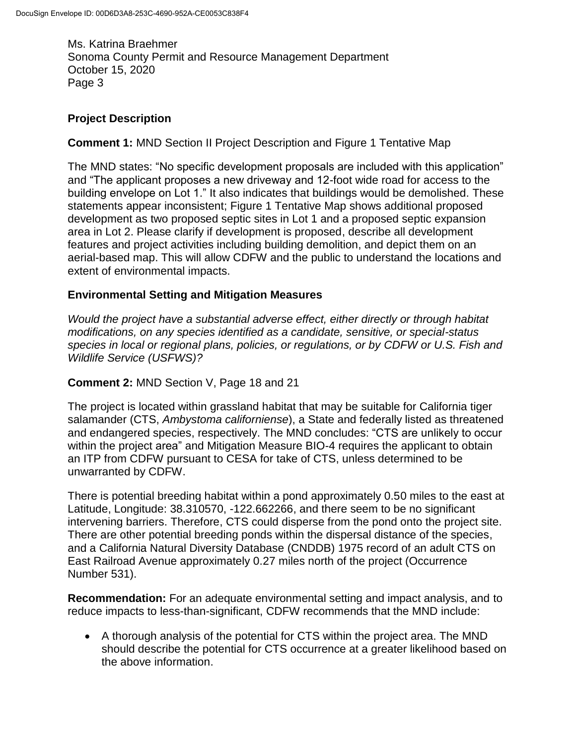## **Project Description**

**Comment 1:** MND Section II Project Description and Figure 1 Tentative Map

The MND states: "No specific development proposals are included with this application" and "The applicant proposes a new driveway and 12-foot wide road for access to the building envelope on Lot 1." It also indicates that buildings would be demolished. These statements appear inconsistent; Figure 1 Tentative Map shows additional proposed development as two proposed septic sites in Lot 1 and a proposed septic expansion area in Lot 2. Please clarify if development is proposed, describe all development features and project activities including building demolition, and depict them on an aerial-based map. This will allow CDFW and the public to understand the locations and extent of environmental impacts.

### **Environmental Setting and Mitigation Measures**

*Would the project have a substantial adverse effect, either directly or through habitat modifications, on any species identified as a candidate, sensitive, or special-status species in local or regional plans, policies, or regulations, or by CDFW or U.S. Fish and Wildlife Service (USFWS)?*

### **Comment 2:** MND Section V, Page 18 and 21

The project is located within grassland habitat that may be suitable for California tiger salamander (CTS, *Ambystoma californiense*), a State and federally listed as threatened and endangered species, respectively. The MND concludes: "CTS are unlikely to occur within the project area" and Mitigation Measure BIO-4 requires the applicant to obtain an ITP from CDFW pursuant to CESA for take of CTS, unless determined to be unwarranted by CDFW.

There is potential breeding habitat within a pond approximately 0.50 miles to the east at Latitude, Longitude: 38.310570, -122.662266, and there seem to be no significant intervening barriers. Therefore, CTS could disperse from the pond onto the project site. There are other potential breeding ponds within the dispersal distance of the species, and a California Natural Diversity Database (CNDDB) 1975 record of an adult CTS on East Railroad Avenue approximately 0.27 miles north of the project (Occurrence Number 531).

**Recommendation:** For an adequate environmental setting and impact analysis, and to reduce impacts to less-than-significant, CDFW recommends that the MND include:

 A thorough analysis of the potential for CTS within the project area. The MND should describe the potential for CTS occurrence at a greater likelihood based on the above information.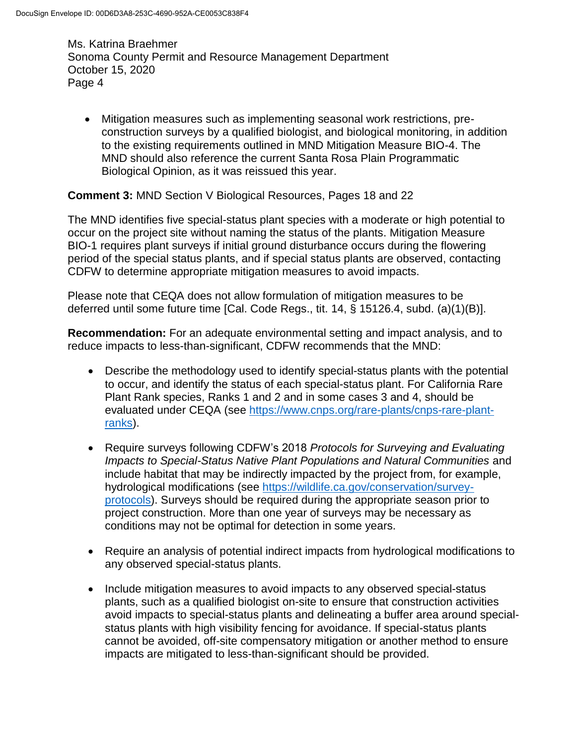Mitigation measures such as implementing seasonal work restrictions, preconstruction surveys by a qualified biologist, and biological monitoring, in addition to the existing requirements outlined in MND Mitigation Measure BIO-4. The MND should also reference the current Santa Rosa Plain Programmatic Biological Opinion, as it was reissued this year.

### **Comment 3:** MND Section V Biological Resources, Pages 18 and 22

The MND identifies five special-status plant species with a moderate or high potential to occur on the project site without naming the status of the plants. Mitigation Measure BIO-1 requires plant surveys if initial ground disturbance occurs during the flowering period of the special status plants, and if special status plants are observed, contacting CDFW to determine appropriate mitigation measures to avoid impacts.

Please note that CEQA does not allow formulation of mitigation measures to be deferred until some future time [Cal. Code Regs., tit. 14, § 15126.4, subd. (a)(1)(B)].

**Recommendation:** For an adequate environmental setting and impact analysis, and to reduce impacts to less-than-significant, CDFW recommends that the MND:

- Describe the methodology used to identify special-status plants with the potential to occur, and identify the status of each special-status plant. For California Rare Plant Rank species, Ranks 1 and 2 and in some cases 3 and 4, should be evaluated under CEQA (see [https://www.cnps.org/rare-plants/cnps-rare-plant](https://www.cnps.org/rare-plants/cnps-rare-plant-ranks)[ranks\)](https://www.cnps.org/rare-plants/cnps-rare-plant-ranks).
- Require surveys following CDFW's 2018 *Protocols for Surveying and Evaluating Impacts to Special-Status Native Plant Populations and Natural Communities* and include habitat that may be indirectly impacted by the project from, for example, hydrological modifications (see [https://wildlife.ca.gov/conservation/survey](https://wildlife.ca.gov/conservation/survey-protocols)[protocols\)](https://wildlife.ca.gov/conservation/survey-protocols). Surveys should be required during the appropriate season prior to project construction. More than one year of surveys may be necessary as conditions may not be optimal for detection in some years.
- Require an analysis of potential indirect impacts from hydrological modifications to any observed special-status plants.
- Include mitigation measures to avoid impacts to any observed special-status plants, such as a qualified biologist on-site to ensure that construction activities avoid impacts to special-status plants and delineating a buffer area around specialstatus plants with high visibility fencing for avoidance. If special-status plants cannot be avoided, off-site compensatory mitigation or another method to ensure impacts are mitigated to less-than-significant should be provided.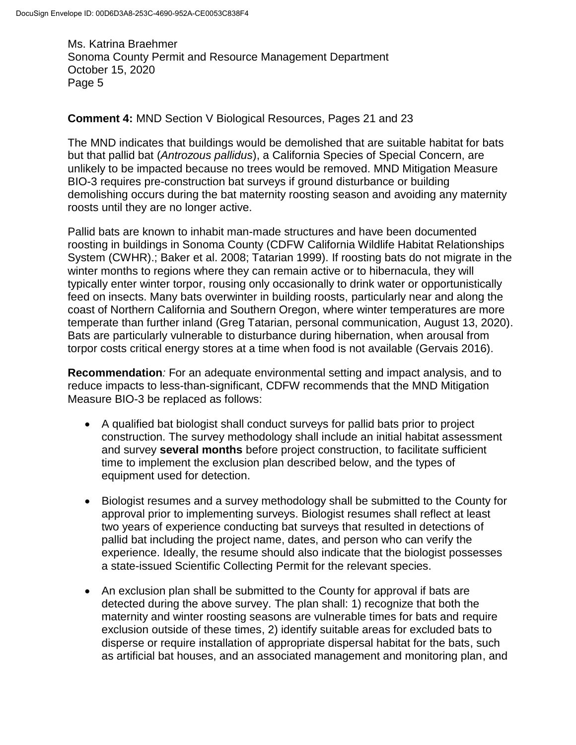#### **Comment 4:** MND Section V Biological Resources, Pages 21 and 23

The MND indicates that buildings would be demolished that are suitable habitat for bats but that pallid bat (*Antrozous pallidus*), a California Species of Special Concern, are unlikely to be impacted because no trees would be removed. MND Mitigation Measure BIO-3 requires pre-construction bat surveys if ground disturbance or building demolishing occurs during the bat maternity roosting season and avoiding any maternity roosts until they are no longer active.

Pallid bats are known to inhabit man-made structures and have been documented roosting in buildings in Sonoma County (CDFW California Wildlife Habitat Relationships System (CWHR).; Baker et al. 2008; Tatarian 1999). If roosting bats do not migrate in the winter months to regions where they can remain active or to hibernacula, they will typically enter winter torpor, rousing only occasionally to drink water or opportunistically feed on insects. Many bats overwinter in building roosts, particularly near and along the coast of Northern California and Southern Oregon, where winter temperatures are more temperate than further inland (Greg Tatarian, personal communication, August 13, 2020). Bats are particularly vulnerable to disturbance during hibernation, when arousal from torpor costs critical energy stores at a time when food is not available (Gervais 2016).

**Recommendation***:* For an adequate environmental setting and impact analysis, and to reduce impacts to less-than-significant, CDFW recommends that the MND Mitigation Measure BIO-3 be replaced as follows:

- A qualified bat biologist shall conduct surveys for pallid bats prior to project construction. The survey methodology shall include an initial habitat assessment and survey **several months** before project construction, to facilitate sufficient time to implement the exclusion plan described below, and the types of equipment used for detection.
- Biologist resumes and a survey methodology shall be submitted to the County for approval prior to implementing surveys. Biologist resumes shall reflect at least two years of experience conducting bat surveys that resulted in detections of pallid bat including the project name, dates, and person who can verify the experience. Ideally, the resume should also indicate that the biologist possesses a state-issued Scientific Collecting Permit for the relevant species.
- An exclusion plan shall be submitted to the County for approval if bats are detected during the above survey. The plan shall: 1) recognize that both the maternity and winter roosting seasons are vulnerable times for bats and require exclusion outside of these times, 2) identify suitable areas for excluded bats to disperse or require installation of appropriate dispersal habitat for the bats, such as artificial bat houses, and an associated management and monitoring plan, and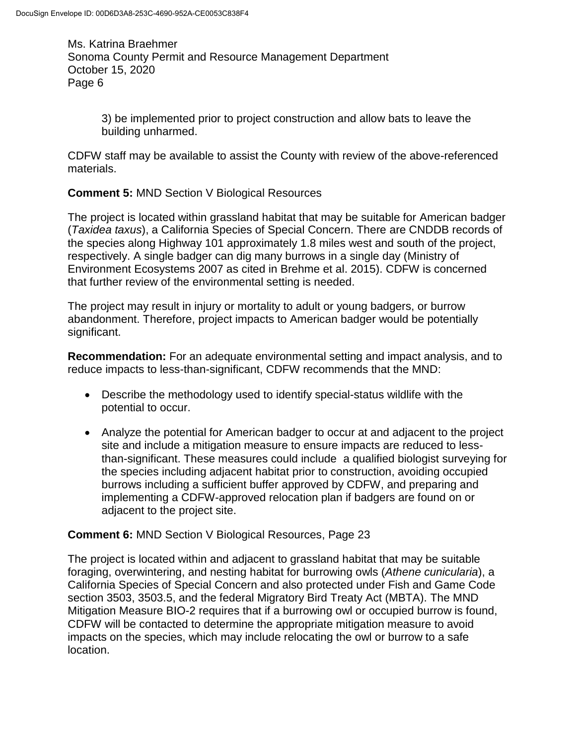> 3) be implemented prior to project construction and allow bats to leave the building unharmed.

CDFW staff may be available to assist the County with review of the above-referenced materials.

**Comment 5:** MND Section V Biological Resources

The project is located within grassland habitat that may be suitable for American badger (*Taxidea taxus*), a California Species of Special Concern. There are CNDDB records of the species along Highway 101 approximately 1.8 miles west and south of the project, respectively. A single badger can dig many burrows in a single day (Ministry of Environment Ecosystems 2007 as cited in Brehme et al. 2015). CDFW is concerned that further review of the environmental setting is needed.

The project may result in injury or mortality to adult or young badgers, or burrow abandonment. Therefore, project impacts to American badger would be potentially significant.

**Recommendation:** For an adequate environmental setting and impact analysis, and to reduce impacts to less-than-significant, CDFW recommends that the MND:

- Describe the methodology used to identify special-status wildlife with the potential to occur.
- Analyze the potential for American badger to occur at and adjacent to the project site and include a mitigation measure to ensure impacts are reduced to lessthan-significant. These measures could include a qualified biologist surveying for the species including adjacent habitat prior to construction, avoiding occupied burrows including a sufficient buffer approved by CDFW, and preparing and implementing a CDFW-approved relocation plan if badgers are found on or adjacent to the project site.

## **Comment 6:** MND Section V Biological Resources, Page 23

The project is located within and adjacent to grassland habitat that may be suitable foraging, overwintering, and nesting habitat for burrowing owls (*Athene cunicularia*), a California Species of Special Concern and also protected under Fish and Game Code section 3503, 3503.5, and the federal Migratory Bird Treaty Act (MBTA). The MND Mitigation Measure BIO-2 requires that if a burrowing owl or occupied burrow is found, CDFW will be contacted to determine the appropriate mitigation measure to avoid impacts on the species, which may include relocating the owl or burrow to a safe location.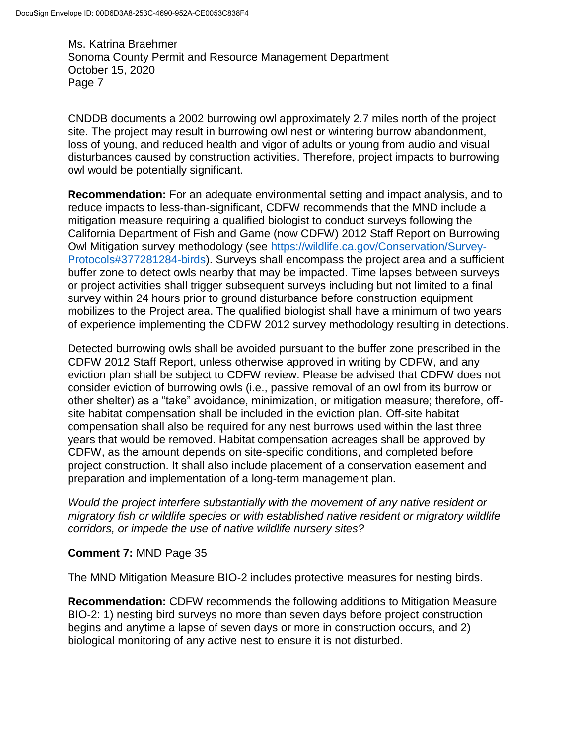CNDDB documents a 2002 burrowing owl approximately 2.7 miles north of the project site. The project may result in burrowing owl nest or wintering burrow abandonment, loss of young, and reduced health and vigor of adults or young from audio and visual disturbances caused by construction activities. Therefore, project impacts to burrowing owl would be potentially significant.

**Recommendation:** For an adequate environmental setting and impact analysis, and to reduce impacts to less-than-significant, CDFW recommends that the MND include a mitigation measure requiring a qualified biologist to conduct surveys following the California Department of Fish and Game (now CDFW) 2012 Staff Report on Burrowing Owl Mitigation survey methodology (see [https://wildlife.ca.gov/Conservation/Survey-](https://wildlife.ca.gov/Conservation/Survey-Protocols#377281284-birds)[Protocols#377281284-birds\)](https://wildlife.ca.gov/Conservation/Survey-Protocols#377281284-birds). Surveys shall encompass the project area and a sufficient buffer zone to detect owls nearby that may be impacted. Time lapses between surveys or project activities shall trigger subsequent surveys including but not limited to a final survey within 24 hours prior to ground disturbance before construction equipment mobilizes to the Project area. The qualified biologist shall have a minimum of two years of experience implementing the CDFW 2012 survey methodology resulting in detections.

Detected burrowing owls shall be avoided pursuant to the buffer zone prescribed in the CDFW 2012 Staff Report, unless otherwise approved in writing by CDFW, and any eviction plan shall be subject to CDFW review. Please be advised that CDFW does not consider eviction of burrowing owls (i.e., passive removal of an owl from its burrow or other shelter) as a "take" avoidance, minimization, or mitigation measure; therefore, offsite habitat compensation shall be included in the eviction plan. Off-site habitat compensation shall also be required for any nest burrows used within the last three years that would be removed. Habitat compensation acreages shall be approved by CDFW, as the amount depends on site-specific conditions, and completed before project construction. It shall also include placement of a conservation easement and preparation and implementation of a long-term management plan.

*Would the project interfere substantially with the movement of any native resident or migratory fish or wildlife species or with established native resident or migratory wildlife corridors, or impede the use of native wildlife nursery sites?*

### **Comment 7:** MND Page 35

The MND Mitigation Measure BIO-2 includes protective measures for nesting birds.

**Recommendation:** CDFW recommends the following additions to Mitigation Measure BIO-2: 1) nesting bird surveys no more than seven days before project construction begins and anytime a lapse of seven days or more in construction occurs, and 2) biological monitoring of any active nest to ensure it is not disturbed.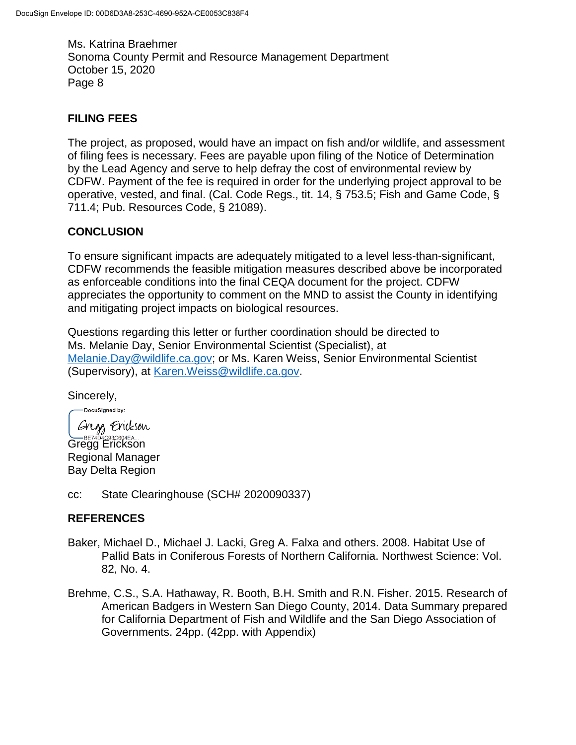# **FILING FEES**

The project, as proposed, would have an impact on fish and/or wildlife, and assessment of filing fees is necessary. Fees are payable upon filing of the Notice of Determination by the Lead Agency and serve to help defray the cost of environmental review by CDFW. Payment of the fee is required in order for the underlying project approval to be operative, vested, and final. (Cal. Code Regs., tit. 14, § 753.5; Fish and Game Code, § 711.4; Pub. Resources Code, § 21089).

# **CONCLUSION**

To ensure significant impacts are adequately mitigated to a level less-than-significant, CDFW recommends the feasible mitigation measures described above be incorporated as enforceable conditions into the final CEQA document for the project. CDFW appreciates the opportunity to comment on the MND to assist the County in identifying and mitigating project impacts on biological resources.

Questions regarding this letter or further coordination should be directed to Ms. Melanie Day, Senior Environmental Scientist (Specialist), at [Melanie.Day@wildlife.ca.gov;](mailto:Melanie.Day@wildlife.ca.gov) or Ms. Karen Weiss, Senior Environmental Scientist (Supervisory), at [Karen.Weiss@wildlife.ca.gov.](mailto:Karen.Weiss@wildlife.ca.gov)

Sincerely,

-DocuSigned by: Gregs Erickson Gregg Erickson

Regional Manager Bay Delta Region

cc: State Clearinghouse (SCH# 2020090337)

## **REFERENCES**

- Baker, Michael D., Michael J. Lacki, Greg A. Falxa and others. 2008. Habitat Use of Pallid Bats in Coniferous Forests of Northern California. Northwest Science: Vol. 82, No. 4.
- Brehme, C.S., S.A. Hathaway, R. Booth, B.H. Smith and R.N. Fisher. 2015. Research of American Badgers in Western San Diego County, 2014. Data Summary prepared for California Department of Fish and Wildlife and the San Diego Association of Governments. 24pp. (42pp. with Appendix)